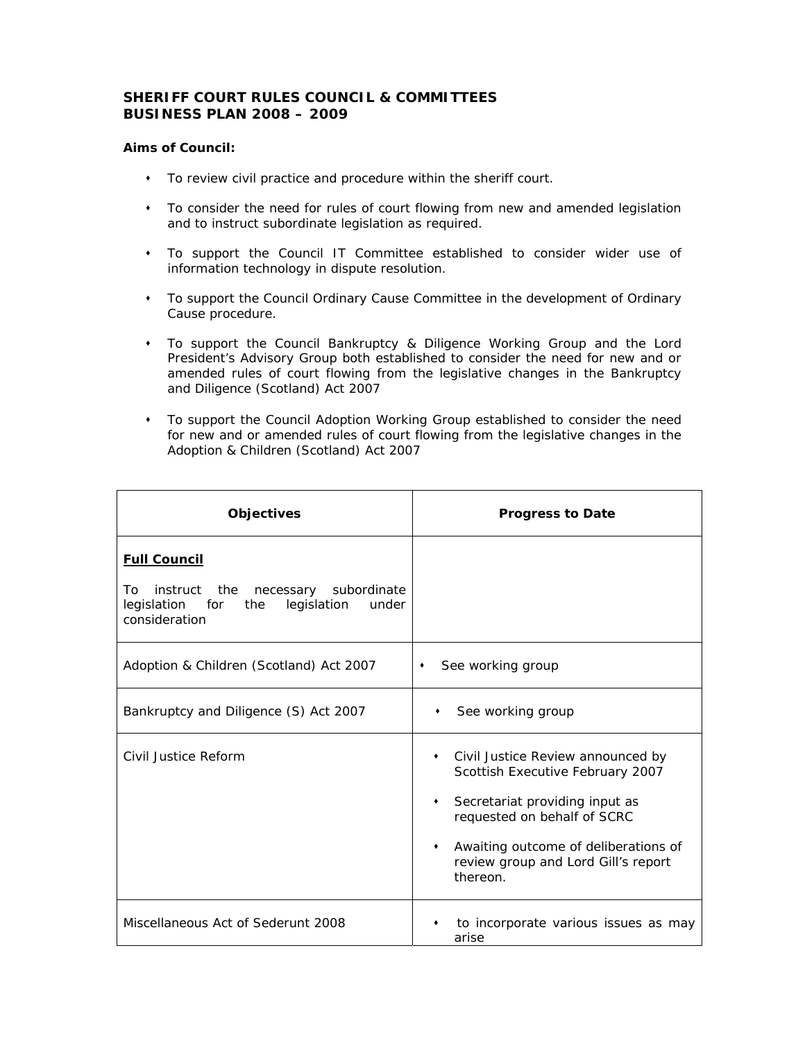## **SHERIFF COURT RULES COUNCIL & COMMITTEES BUSINESS PLAN 2008 – 2009**

## **Aims of Council:**

- To review civil practice and procedure within the sheriff court.
- To consider the need for rules of court flowing from new and amended legislation and to instruct subordinate legislation as required.
- To support the Council IT Committee established to consider wider use of information technology in dispute resolution.
- To support the Council Ordinary Cause Committee in the development of Ordinary Cause procedure.
- To support the Council Bankruptcy & Diligence Working Group and the Lord President's Advisory Group both established to consider the need for new and or amended rules of court flowing from the legislative changes in the Bankruptcy and Diligence (Scotland) Act 2007
- To support the Council Adoption Working Group established to consider the need for new and or amended rules of court flowing from the legislative changes in the Adoption & Children (Scotland) Act 2007

| <b>Objectives</b>                                                                                                                      | <b>Progress to Date</b>                                                                                                                                                                                                                                                  |
|----------------------------------------------------------------------------------------------------------------------------------------|--------------------------------------------------------------------------------------------------------------------------------------------------------------------------------------------------------------------------------------------------------------------------|
| <b>Full Council</b><br>instruct the<br>subordinate<br>To.<br>necessary<br>legislation for the<br>legislation<br>under<br>consideration |                                                                                                                                                                                                                                                                          |
| Adoption & Children (Scotland) Act 2007                                                                                                | See working group<br>٠                                                                                                                                                                                                                                                   |
| Bankruptcy and Diligence (S) Act 2007                                                                                                  | See working group<br>٠                                                                                                                                                                                                                                                   |
| Civil Justice Reform                                                                                                                   | Civil Justice Review announced by<br>$\bullet$<br>Scottish Executive February 2007<br>Secretariat providing input as<br>$\bullet$<br>requested on behalf of SCRC<br>Awaiting outcome of deliberations of<br>$\bullet$<br>review group and Lord Gill's report<br>thereon. |
| Miscellaneous Act of Sederunt 2008                                                                                                     | to incorporate various issues as may<br>arise                                                                                                                                                                                                                            |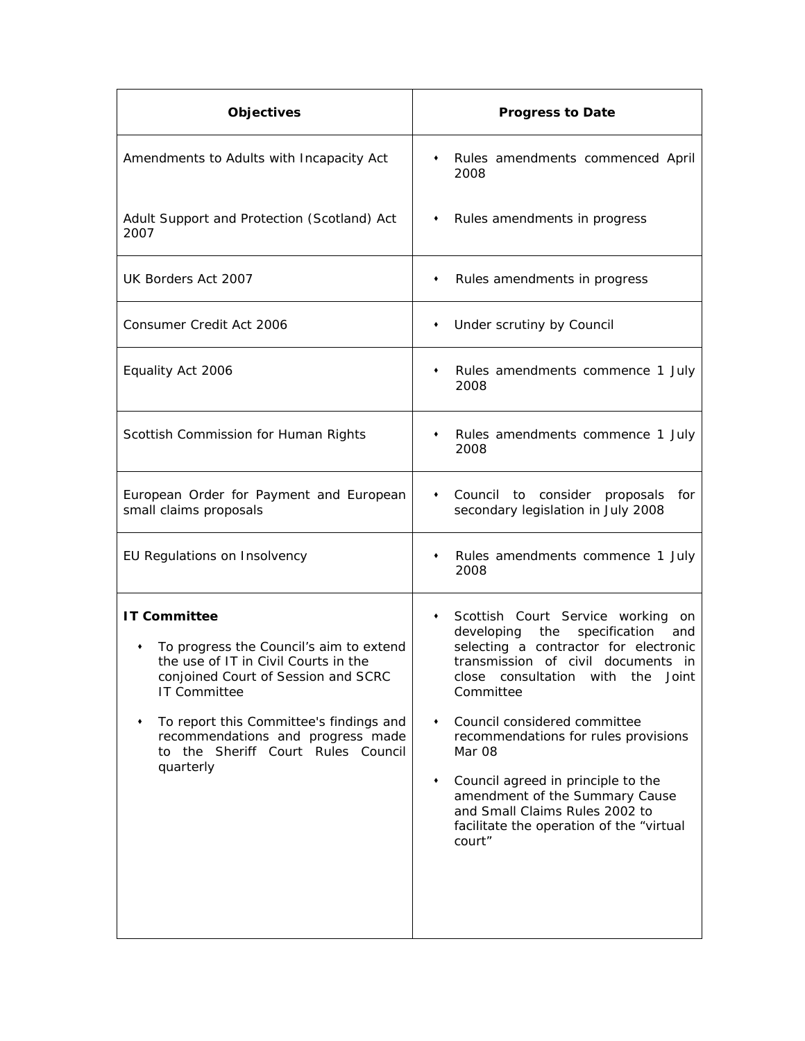| <b>Objectives</b>                                                                                                                                                                                                                                                                                            | <b>Progress to Date</b>                                                                                                                                                                                                                                                                                                                                                                                                                                                       |
|--------------------------------------------------------------------------------------------------------------------------------------------------------------------------------------------------------------------------------------------------------------------------------------------------------------|-------------------------------------------------------------------------------------------------------------------------------------------------------------------------------------------------------------------------------------------------------------------------------------------------------------------------------------------------------------------------------------------------------------------------------------------------------------------------------|
| Amendments to Adults with Incapacity Act                                                                                                                                                                                                                                                                     | • Rules amendments commenced April<br>2008                                                                                                                                                                                                                                                                                                                                                                                                                                    |
| Adult Support and Protection (Scotland) Act<br>2007                                                                                                                                                                                                                                                          | • Rules amendments in progress                                                                                                                                                                                                                                                                                                                                                                                                                                                |
| UK Borders Act 2007                                                                                                                                                                                                                                                                                          | Rules amendments in progress<br>٠                                                                                                                                                                                                                                                                                                                                                                                                                                             |
| Consumer Credit Act 2006                                                                                                                                                                                                                                                                                     | Under scrutiny by Council<br>٠                                                                                                                                                                                                                                                                                                                                                                                                                                                |
| Equality Act 2006                                                                                                                                                                                                                                                                                            | Rules amendments commence 1 July<br>٠<br>2008                                                                                                                                                                                                                                                                                                                                                                                                                                 |
| Scottish Commission for Human Rights                                                                                                                                                                                                                                                                         | Rules amendments commence 1 July<br>٠<br>2008                                                                                                                                                                                                                                                                                                                                                                                                                                 |
| European Order for Payment and European<br>small claims proposals                                                                                                                                                                                                                                            | Council to consider proposals for<br>$\bullet$<br>secondary legislation in July 2008                                                                                                                                                                                                                                                                                                                                                                                          |
| EU Regulations on Insolvency                                                                                                                                                                                                                                                                                 | Rules amendments commence 1 July<br>٠<br>2008                                                                                                                                                                                                                                                                                                                                                                                                                                 |
| <b>IT Committee</b><br>To progress the Council's aim to extend<br>٠<br>the use of IT in Civil Courts in the<br>conjoined Court of Session and SCRC<br><b>IT Committee</b><br>To report this Committee's findings and<br>recommendations and progress made<br>to the Sheriff Court Rules Council<br>quarterly | Scottish Court Service working on<br>٠<br>developing<br>the<br>specification and<br>selecting a contractor for electronic<br>transmission of civil documents in<br>close consultation with the Joint<br>Committee<br>Council considered committee<br>٠<br>recommendations for rules provisions<br>Mar 08<br>Council agreed in principle to the<br>٠<br>amendment of the Summary Cause<br>and Small Claims Rules 2002 to<br>facilitate the operation of the "virtual<br>court" |